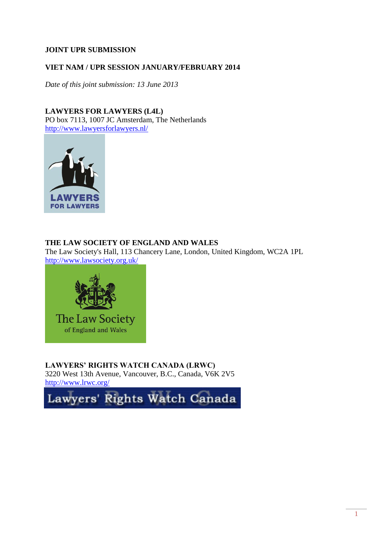## **JOINT UPR SUBMISSION**

## **VIET NAM / UPR SESSION JANUARY/FEBRUARY 2014**

*Date of this joint submission: 13 June 2013*

**LAWYERS FOR LAWYERS (L4L)** PO box 7113, 1007 JC Amsterdam, The Netherlands <http://www.lawyersforlawyers.nl/>



## **THE LAW SOCIETY OF ENGLAND AND WALES**

The Law Society's Hall, 113 Chancery Lane, London, United Kingdom, WC2A 1PL <http://www.lawsociety.org.uk/>



**LAWYERS' RIGHTS WATCH CANADA (LRWC)**

3220 West 13th Avenue, Vancouver, B.C., Canada, V6K 2V5 <http://www.lrwc.org/>

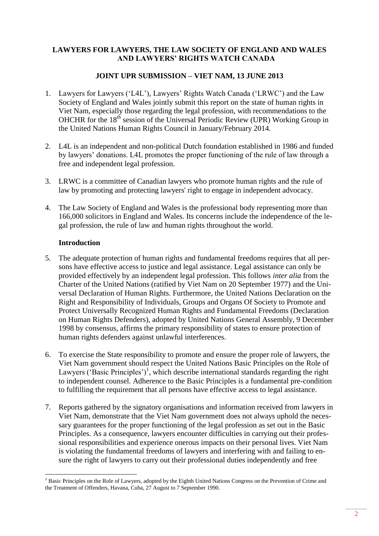# **LAWYERS FOR LAWYERS, THE LAW SOCIETY OF ENGLAND AND WALES AND LAWYERS' RIGHTS WATCH CANADA**

# **JOINT UPR SUBMISSION – VIET NAM, 13 JUNE 2013**

- 1. Lawyers for Lawyers ('L4L'), Lawyers' Rights Watch Canada ('LRWC') and the Law Society of England and Wales jointly submit this report on the state of human rights in Viet Nam, especially those regarding the legal profession, with recommendations to the OHCHR for the 18<sup>th</sup> session of the Universal Periodic Review (UPR) Working Group in the United Nations Human Rights Council in January/February 2014.
- 2. L4L is an independent and non-political Dutch foundation established in 1986 and funded by lawyers' donations. L4L promotes the proper functioning of the rule of law through a free and independent legal profession.
- 3. LRWC is a committee of Canadian lawyers who promote human rights and the rule of law by promoting and protecting lawyers' right to engage in independent advocacy.
- 4. The Law Society of England and Wales is the professional body representing more than 166,000 solicitors in England and Wales. Its concerns include the independence of the legal profession, the rule of law and human rights throughout the world.

## **Introduction**

1

- 5. The adequate protection of human rights and fundamental freedoms requires that all persons have effective access to justice and legal assistance. Legal assistance can only be provided effectively by an independent legal profession. This follows *inter alia* from the Charter of the United Nations (ratified by Viet Nam on 20 September 1977) and the Universal Declaration of Human Rights. Furthermore, the United Nations Declaration on the Right and Responsibility of Individuals, Groups and Organs Of Society to Promote and Protect Universally Recognized Human Rights and Fundamental Freedoms (Declaration on Human Rights Defenders), adopted by United Nations General Assembly, 9 December 1998 by consensus, affirms the primary responsibility of states to ensure protection of human rights defenders against unlawful interferences.
- 6. To exercise the State responsibility to promote and ensure the proper role of lawyers, the Viet Nam government should respect the United Nations Basic Principles on the Role of Lawyers ('Basic Principles')<sup>1</sup>, which describe international standards regarding the right to independent counsel. Adherence to the Basic Principles is a fundamental pre-condition to fulfilling the requirement that all persons have effective access to legal assistance.
- 7. Reports gathered by the signatory organisations and information received from lawyers in Viet Nam, demonstrate that the Viet Nam government does not always uphold the necessary guarantees for the proper functioning of the legal profession as set out in the Basic Principles. As a consequence, lawyers encounter difficulties in carrying out their professional responsibilities and experience onerous impacts on their personal lives. Viet Nam is violating the fundamental freedoms of lawyers and interfering with and failing to ensure the right of lawyers to carry out their professional duties independently and free

<sup>&</sup>lt;sup>1</sup> Basic Principles on the Role of Lawyers, adopted by the Eighth United Nations Congress on the Prevention of Crime and the Treatment of Offenders, Havana, Cuba, 27 August to 7 September 1990.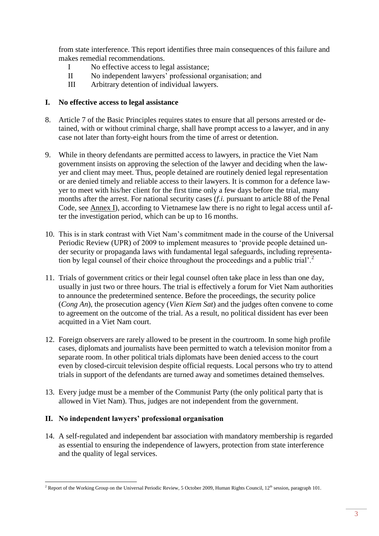from state interference. This report identifies three main consequences of this failure and makes remedial recommendations.

- I No effective access to legal assistance;
- II No independent lawyers' professional organisation; and
- III Arbitrary detention of individual lawyers.

#### **I. No effective access to legal assistance**

- 8. Article 7 of the Basic Principles requires states to ensure that all persons arrested or detained, with or without criminal charge, shall have prompt access to a lawyer, and in any case not later than forty-eight hours from the time of arrest or detention.
- 9. While in theory defendants are permitted access to lawyers, in practice the Viet Nam government insists on approving the selection of the lawyer and deciding when the lawyer and client may meet. Thus, people detained are routinely denied legal representation or are denied timely and reliable access to their lawyers. It is common for a defence lawyer to meet with his/her client for the first time only a few days before the trial, many months after the arrest. For national security cases (*f.i.* pursuant to article 88 of the Penal Code, see Annex I), according to Vietnamese law there is no right to legal access until after the investigation period, which can be up to 16 months.
- 10. This is in stark contrast with Viet Nam's commitment made in the course of the Universal Periodic Review (UPR) of 2009 to implement measures to 'provide people detained under security or propaganda laws with fundamental legal safeguards, including representation by legal counsel of their choice throughout the proceedings and a public trial'.<sup>2</sup>
- 11. Trials of government critics or their legal counsel often take place in less than one day, usually in just two or three hours. The trial is effectively a forum for Viet Nam authorities to announce the predetermined sentence. Before the proceedings, the security police (*Cong An*), the prosecution agency (*Vien Kiem Sat*) and the judges often convene to come to agreement on the outcome of the trial. As a result, no political dissident has ever been acquitted in a Viet Nam court.
- 12. Foreign observers are rarely allowed to be present in the courtroom. In some high profile cases, diplomats and journalists have been permitted to watch a television monitor from a separate room. In other political trials diplomats have been denied access to the court even by closed-circuit television despite official requests. Local persons who try to attend trials in support of the defendants are turned away and sometimes detained themselves.
- 13. Every judge must be a member of the Communist Party (the only political party that is allowed in Viet Nam). Thus, judges are not independent from the government.

## **II. No independent lawyers' professional organisation**

14. A self-regulated and independent bar association with mandatory membership is regarded as essential to ensuring the independence of lawyers, protection from state interference and the quality of legal services.

<sup>1</sup> <sup>2</sup> Report of the Working Group on the Universal Periodic Review, 5 October 2009, Human Rights Council,  $12<sup>th</sup>$  session, paragraph 101.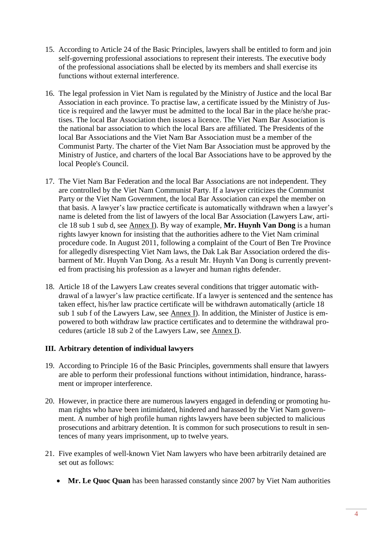- 15. According to Article 24 of the Basic Principles, lawyers shall be entitled to form and join self-governing professional associations to represent their interests. The executive body of the professional associations shall be elected by its members and shall exercise its functions without external interference.
- 16. The legal profession in Viet Nam is regulated by the Ministry of Justice and the local Bar Association in each province. To practise law, a certificate issued by the Ministry of Justice is required and the lawyer must be admitted to the local Bar in the place he/she practises. The local Bar Association then issues a licence. The Viet Nam Bar Association is the national bar association to which the local Bars are affiliated. The Presidents of the local Bar Associations and the Viet Nam Bar Association must be a member of the Communist Party. The charter of the Viet Nam Bar Association must be approved by the Ministry of Justice, and charters of the local Bar Associations have to be approved by the local People's Council.
- 17. The Viet Nam Bar Federation and the local Bar Associations are not independent. They are controlled by the Viet Nam Communist Party. If a lawyer criticizes the Communist Party or the Viet Nam Government, the local Bar Association can expel the member on that basis. A lawyer's law practice certificate is automatically withdrawn when a lawyer's name is deleted from the list of lawyers of the local Bar Association (Lawyers Law, article 18 sub 1 sub d, see Annex I). By way of example, **Mr. Huynh Van Dong** is a human rights lawyer known for insisting that the authorities adhere to the Viet Nam criminal procedure code. In August 2011, following a complaint of the Court of Ben Tre Province for allegedly disrespecting Viet Nam laws, the Dak Lak Bar Association ordered the disbarment of Mr. Huynh Van Dong. As a result Mr. Huynh Van Dong is currently prevented from practising his profession as a lawyer and human rights defender.
- 18. Article 18 of the Lawyers Law creates several conditions that trigger automatic withdrawal of a lawyer's law practice certificate. If a lawyer is sentenced and the sentence has taken effect, his/her law practice certificate will be withdrawn automatically (article 18 sub 1 sub f of the Lawyers Law, see Annex I). In addition, the Minister of Justice is empowered to both withdraw law practice certificates and to determine the withdrawal procedures (article 18 sub 2 of the Lawyers Law, see Annex I).

## **III. Arbitrary detention of individual lawyers**

- 19. According to Principle 16 of the Basic Principles, governments shall ensure that lawyers are able to perform their professional functions without intimidation, hindrance, harassment or improper interference.
- 20. However, in practice there are numerous lawyers engaged in defending or promoting human rights who have been intimidated, hindered and harassed by the Viet Nam government. A number of high profile human rights lawyers have been subjected to malicious prosecutions and arbitrary detention. It is common for such prosecutions to result in sentences of many years imprisonment, up to twelve years.
- 21. Five examples of well-known Viet Nam lawyers who have been arbitrarily detained are set out as follows:
	- **Mr. Le Quoc Quan** has been harassed constantly since 2007 by Viet Nam authorities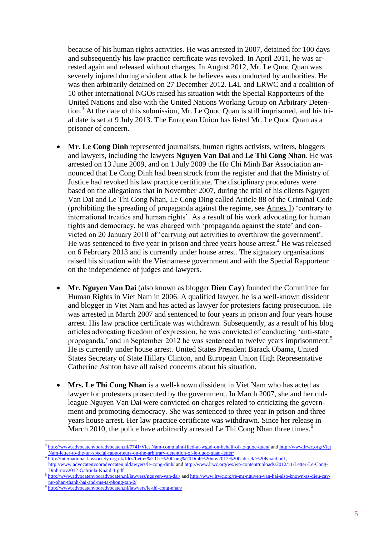because of his human rights activities. He was arrested in 2007, detained for 100 days and subsequently his law practice certificate was revoked. In April 2011, he was arrested again and released without charges. In August 2012, Mr. Le Quoc Quan was severely injured during a violent attack he believes was conducted by authorities. He was then arbitrarily detained on 27 December 2012. L4L and LRWC and a coalition of 10 other international NGOs raised his situation with the Special Rapporteurs of the United Nations and also with the United Nations Working Group on Arbitrary Detention.<sup>3</sup> At the date of this submission, Mr. Le Quoc Quan is still imprisoned, and his trial date is set at 9 July 2013. The European Union has listed Mr. Le Quoc Quan as a prisoner of concern.

- **Mr. Le Cong Dinh** represented journalists, human rights activists, writers, bloggers and lawyers, including the lawyers **Nguyen Van Dai** and **Le Thi Cong Nhan**. He was arrested on 13 June 2009, and on 1 July 2009 the Ho Chi Minh Bar Association announced that Le Cong Dinh had been struck from the register and that the Ministry of Justice had revoked his law practice certificate. The disciplinary procedures were based on the allegations that in November 2007, during the trial of his clients Nguyen Van Dai and Le Thi Cong Nhan, Le Cong Ding called Article 88 of the Criminal Code (prohibiting the spreading of propaganda against the regime, see Annex I) 'contrary to international treaties and human rights'. As a result of his work advocating for human rights and democracy, he was charged with 'propaganda against the state' and convicted on 20 January 2010 of 'carrying out activities to overthrow the government'. He was sentenced to five year in prison and three years house arrest.<sup>4</sup> He was released on 6 February 2013 and is currently under house arrest. The signatory organisations raised his situation with the Vietnamese government and with the Special Rapporteur on the independence of judges and lawyers.
- **Mr. Nguyen Van Dai** (also known as blogger **Dieu Cay**) founded the Committee for Human Rights in Viet Nam in 2006. A qualified lawyer, he is a well-known dissident and blogger in Viet Nam and has acted as lawyer for protesters facing prosecution. He was arrested in March 2007 and sentenced to four years in prison and four years house arrest. His law practice certificate was withdrawn. Subsequently, as a result of his blog articles advocating freedom of expression, he was convicted of conducting 'anti-state propaganda,' and in September 2012 he was sentenced to twelve years imprisonment.<sup>5</sup> He is currently under house arrest. United States President Barack Obama, United States Secretary of State Hillary Clinton, and European Union High Representative Catherine Ashton have all raised concerns about his situation.
- **Mrs. Le Thi Cong Nhan** is a well-known dissident in Viet Nam who has acted as lawyer for protesters prosecuted by the government. In March 2007, she and her colleague Nguyen Van Dai were convicted on charges related to criticizing the government and promoting democracy. She was sentenced to three year in prison and three years house arrest. Her law practice certificate was withdrawn. Since her release in March 2010, the police have arbitrarily arrested Le Thi Cong Nhan three times.<sup>6</sup>

<sup>1</sup> <sup>3</sup> [http://www.advocatenvooradvocaten.nl/7741/Viet Nam-complaint-filed-at-wgad-on-behalf-of-le-quoc-quan/](http://www.advocatenvooradvocaten.nl/7741/vietnam-complaint-filed-at-wgad-on-behalf-of-le-quoc-quan/) and http://www.lrwc.org/Viet [Nam-letter-to-the-un-special-rapporteurs-on-the-arbitrary-detention-of-le-quoc-quan-letter/](http://www.lrwc.org/vietnam-letter-to-the-un-special-rapporteurs-on-the-arbitrary-detention-of-le-quoc-quan-letter/)

<sup>4</sup> [http://international.lawsociety.org.uk/files/Letter%20Le%20Cong%20Dinh%20nov2012%20Gabriela%20Knaul.pdf,](http://international.lawsociety.org.uk/files/Letter%20Le%20Cong%20Dinh%20nov2012%20Gabriela%20Knaul.pdf) 

<http://www.advocatenvooradvocaten.nl/lawyers/le-cong-dinh/> an[d http://www.lrwc.org/ws/wp-content/uploads/2012/11/Letter-Le-Cong-](http://www.lrwc.org/ws/wp-content/uploads/2012/11/Letter-Le-Cong-Dinh-nov2012-Gabriela-Knaul-1.pdf)[Dinh-nov2012-Gabriela-Knaul-1.pdf](http://www.lrwc.org/ws/wp-content/uploads/2012/11/Letter-Le-Cong-Dinh-nov2012-Gabriela-Knaul-1.pdf)

<sup>5</sup> <http://www.advocatenvooradvocaten.nl/lawyers/nguyen-van-dai/> and [http://www.lrwc.org/re-mr-nguyen-van-hai-also-known-as-dieu-cay](http://www.lrwc.org/re-mr-nguyen-van-hai-also-known-as-dieu-cay-mr-phan-thanh-hai-and-ms-ta-phong-tan-2/)[mr-phan-thanh-hai-and-ms-ta-phong-tan-2/](http://www.lrwc.org/re-mr-nguyen-van-hai-also-known-as-dieu-cay-mr-phan-thanh-hai-and-ms-ta-phong-tan-2/)

<sup>6</sup> <http://www.advocatenvooradvocaten.nl/lawyers/le-thi-cong-nhan/>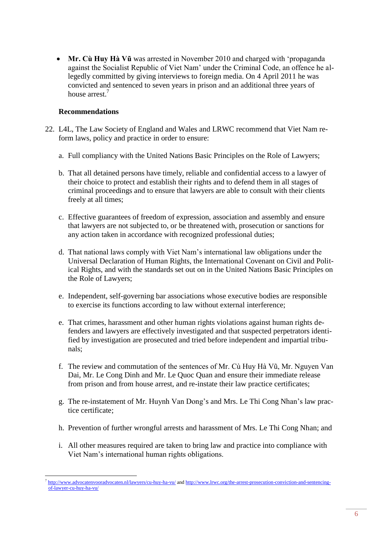**Mr. Cù Huy Hà Vũ** was arrested in November 2010 and charged with 'propaganda against the Socialist Republic of Viet Nam' under the Criminal Code, an offence he allegedly committed by giving interviews to foreign media. On 4 April 2011 he was convicted and sentenced to seven years in prison and an additional three years of house arrest<sup>7</sup>

#### **Recommendations**

- 22. L4L, The Law Society of England and Wales and LRWC recommend that Viet Nam reform laws, policy and practice in order to ensure:
	- a. Full compliancy with the United Nations Basic Principles on the Role of Lawyers;
	- b. That all detained persons have timely, reliable and confidential access to a lawyer of their choice to protect and establish their rights and to defend them in all stages of criminal proceedings and to ensure that lawyers are able to consult with their clients freely at all times;
	- c. Effective guarantees of freedom of expression, association and assembly and ensure that lawyers are not subjected to, or be threatened with, prosecution or sanctions for any action taken in accordance with recognized professional duties;
	- d. That national laws comply with Viet Nam's international law obligations under the Universal Declaration of Human Rights, the International Covenant on Civil and Political Rights, and with the standards set out on in the United Nations Basic Principles on the Role of Lawyers;
	- e. Independent, self-governing bar associations whose executive bodies are responsible to exercise its functions according to law without external interference;
	- e. That crimes, harassment and other human rights violations against human rights defenders and lawyers are effectively investigated and that suspected perpetrators identified by investigation are prosecuted and tried before independent and impartial tribunals;
	- f. The review and commutation of the sentences of Mr. Cù Huy Hà Vũ, Mr. Nguyen Van Dai, Mr. Le Cong Dinh and Mr. Le Quoc Quan and ensure their immediate release from prison and from house arrest, and re-instate their law practice certificates;
	- g. The re-instatement of Mr. Huynh Van Dong's and Mrs. Le Thi Cong Nhan's law practice certificate;
	- h. Prevention of further wrongful arrests and harassment of Mrs. Le Thi Cong Nhan; and
	- i. All other measures required are taken to bring law and practice into compliance with Viet Nam's international human rights obligations.

<sup>1</sup> <sup>7</sup> <http://www.advocatenvooradvocaten.nl/lawyers/cu-huy-ha-vu/> an[d http://www.lrwc.org/the-arrest-prosecution-conviction-and-sentencing](http://www.lrwc.org/the-arrest-prosecution-conviction-and-sentencing-of-lawyer-cu-huy-ha-vu/)[of-lawyer-cu-huy-ha-vu/](http://www.lrwc.org/the-arrest-prosecution-conviction-and-sentencing-of-lawyer-cu-huy-ha-vu/)